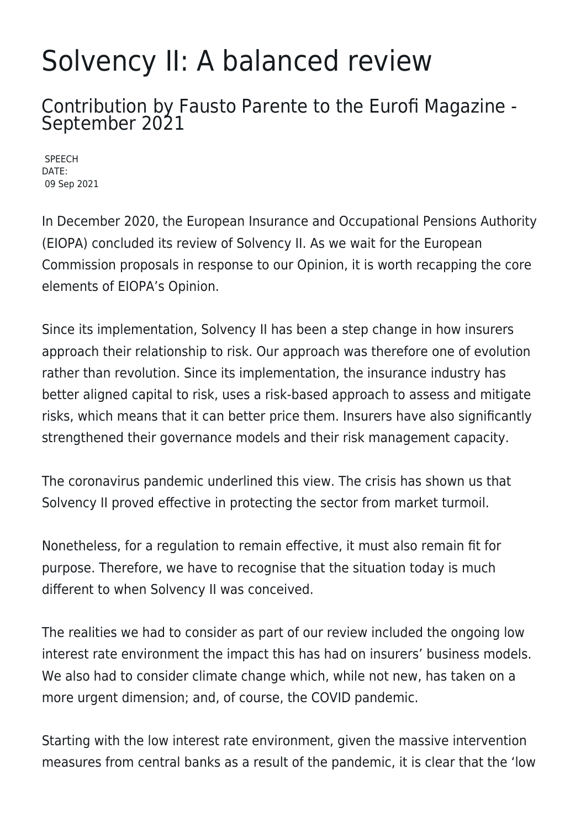## Solvency II: A balanced review

Contribution by Fausto Parente to the Eurofi Magazine - September 2021

SPEECH DATE: 09 Sep 2021

In December 2020, the European Insurance and Occupational Pensions Authority (EIOPA) concluded its review of Solvency II. As we wait for the European Commission proposals in response to our Opinion, it is worth recapping the core elements of EIOPA's Opinion.

Since its implementation, Solvency II has been a step change in how insurers approach their relationship to risk. Our approach was therefore one of evolution rather than revolution. Since its implementation, the insurance industry has better aligned capital to risk, uses a risk-based approach to assess and mitigate risks, which means that it can better price them. Insurers have also significantly strengthened their governance models and their risk management capacity.

The coronavirus pandemic underlined this view. The crisis has shown us that Solvency II proved effective in protecting the sector from market turmoil.

Nonetheless, for a regulation to remain effective, it must also remain fit for purpose. Therefore, we have to recognise that the situation today is much different to when Solvency II was conceived.

The realities we had to consider as part of our review included the ongoing low interest rate environment the impact this has had on insurers' business models. We also had to consider climate change which, while not new, has taken on a more urgent dimension; and, of course, the COVID pandemic.

Starting with the low interest rate environment, given the massive intervention measures from central banks as a result of the pandemic, it is clear that the 'low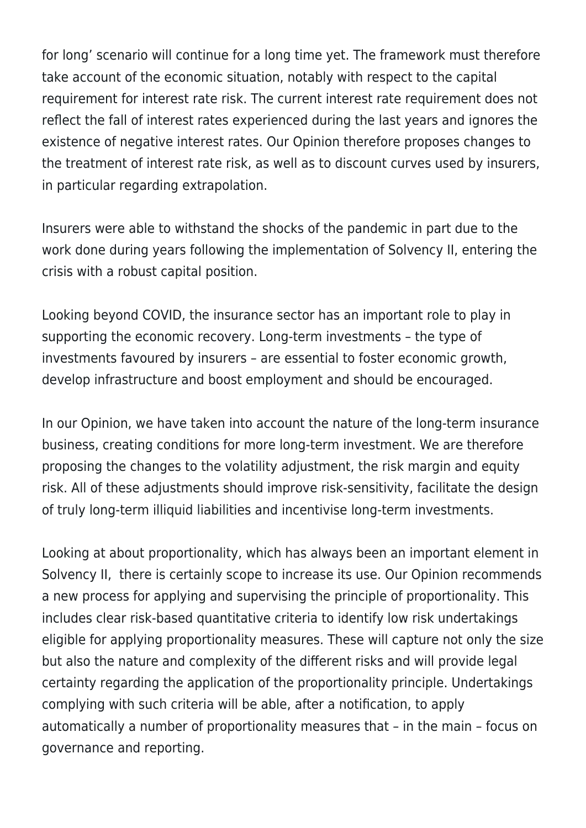for long' scenario will continue for a long time yet. The framework must therefore take account of the economic situation, notably with respect to the capital requirement for interest rate risk. The current interest rate requirement does not reflect the fall of interest rates experienced during the last years and ignores the existence of negative interest rates. Our Opinion therefore proposes changes to the treatment of interest rate risk, as well as to discount curves used by insurers, in particular regarding extrapolation.

Insurers were able to withstand the shocks of the pandemic in part due to the work done during years following the implementation of Solvency II, entering the crisis with a robust capital position.

Looking beyond COVID, the insurance sector has an important role to play in supporting the economic recovery. Long-term investments – the type of investments favoured by insurers – are essential to foster economic growth, develop infrastructure and boost employment and should be encouraged.

In our Opinion, we have taken into account the nature of the long-term insurance business, creating conditions for more long-term investment. We are therefore proposing the changes to the volatility adjustment, the risk margin and equity risk. All of these adjustments should improve risk-sensitivity, facilitate the design of truly long-term illiquid liabilities and incentivise long-term investments.

Looking at about proportionality, which has always been an important element in Solvency II, there is certainly scope to increase its use. Our Opinion recommends a new process for applying and supervising the principle of proportionality. This includes clear risk-based quantitative criteria to identify low risk undertakings eligible for applying proportionality measures. These will capture not only the size but also the nature and complexity of the different risks and will provide legal certainty regarding the application of the proportionality principle. Undertakings complying with such criteria will be able, after a notification, to apply automatically a number of proportionality measures that – in the main – focus on governance and reporting.